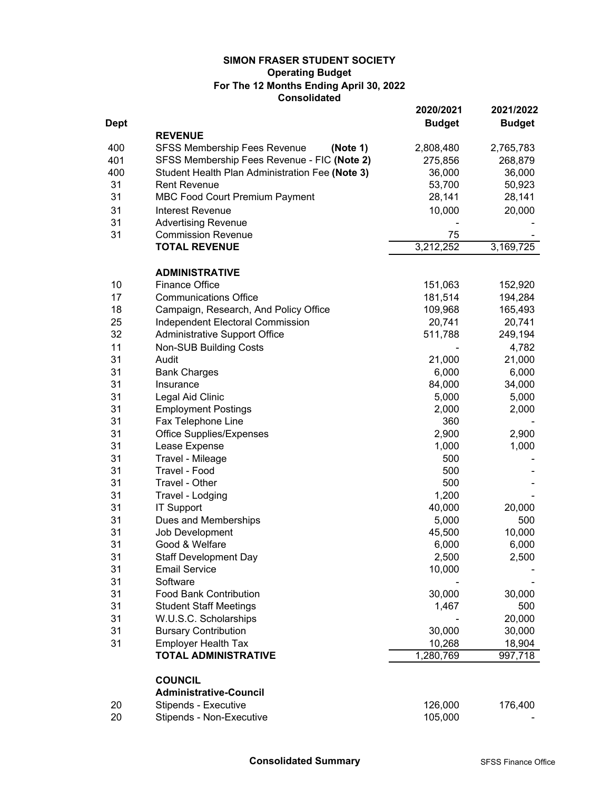# **Consolidated SIMON FRASER STUDENT SOCIETY For The 12 Months Ending April 30, 2022 Operating Budget**

|             |                                                 | 2020/2021     | 2021/2022     |
|-------------|-------------------------------------------------|---------------|---------------|
| <b>Dept</b> |                                                 | <b>Budget</b> | <b>Budget</b> |
|             | <b>REVENUE</b>                                  |               |               |
| 400         | <b>SFSS Membership Fees Revenue</b><br>(Note 1) | 2,808,480     | 2,765,783     |
| 401         | SFSS Membership Fees Revenue - FIC (Note 2)     | 275,856       | 268,879       |
| 400         | Student Health Plan Administration Fee (Note 3) | 36,000        | 36,000        |
| 31          | <b>Rent Revenue</b>                             | 53,700        | 50,923        |
| 31          | <b>MBC Food Court Premium Payment</b>           | 28,141        | 28,141        |
| 31          | Interest Revenue                                | 10,000        | 20,000        |
| 31          | <b>Advertising Revenue</b>                      |               |               |
| 31          | <b>Commission Revenue</b>                       | 75            |               |
|             | <b>TOTAL REVENUE</b>                            | 3,212,252     | 3,169,725     |
|             | <b>ADMINISTRATIVE</b>                           |               |               |
| 10          | <b>Finance Office</b>                           | 151,063       | 152,920       |
| 17          | <b>Communications Office</b>                    | 181,514       | 194,284       |
| 18          | Campaign, Research, And Policy Office           | 109,968       | 165,493       |
| 25          | Independent Electoral Commission                | 20,741        | 20,741        |
| 32          | Administrative Support Office                   | 511,788       | 249,194       |
| 11          | <b>Non-SUB Building Costs</b>                   |               | 4,782         |
| 31          | Audit                                           | 21,000        | 21,000        |
| 31          | <b>Bank Charges</b>                             | 6,000         | 6,000         |
| 31          | Insurance                                       | 84,000        | 34,000        |
| 31          | Legal Aid Clinic                                | 5,000         | 5,000         |
| 31          | <b>Employment Postings</b>                      | 2,000         | 2,000         |
| 31          | Fax Telephone Line                              | 360           |               |
| 31          | <b>Office Supplies/Expenses</b>                 | 2,900         | 2,900         |
| 31          | Lease Expense                                   | 1,000         | 1,000         |
| 31          | Travel - Mileage                                | 500           |               |
| 31          | Travel - Food                                   | 500           |               |
| 31          | Travel - Other                                  | 500           |               |
| 31          | Travel - Lodging                                | 1,200         |               |
| 31          | <b>IT Support</b>                               | 40,000        | 20,000        |
| 31          | Dues and Memberships                            | 5,000         | 500           |
| 31          | Job Development                                 | 45,500        | 10,000        |
| 31          | Good & Welfare                                  | 6,000         | 6,000         |
| 31          | <b>Staff Development Day</b>                    | 2,500         | 2,500         |
| 31          | <b>Email Service</b>                            | 10,000        |               |
| 31          | Software                                        |               |               |
| 31          | <b>Food Bank Contribution</b>                   | 30,000        | 30,000        |
| 31          | <b>Student Staff Meetings</b>                   | 1,467         | 500           |
| 31          | W.U.S.C. Scholarships                           |               | 20,000        |
| 31          | <b>Bursary Contribution</b>                     | 30,000        | 30,000        |
| 31          | <b>Employer Health Tax</b>                      | 10,268        | 18,904        |
|             | <b>TOTAL ADMINISTRATIVE</b>                     | 1,280,769     | 997,718       |
|             | <b>COUNCIL</b>                                  |               |               |
|             | <b>Administrative-Council</b>                   |               |               |
| 20          | Stipends - Executive                            | 126,000       | 176,400       |
| 20          | Stipends - Non-Executive                        | 105,000       |               |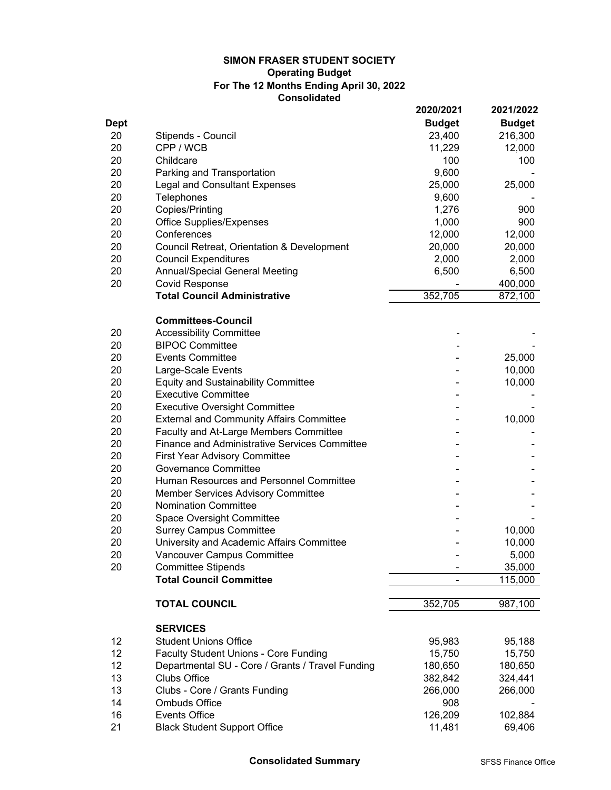# **Consolidated SIMON FRASER STUDENT SOCIETY For The 12 Months Ending April 30, 2022 Operating Budget**

|             |                                                      | 2020/2021     | 2021/2022     |
|-------------|------------------------------------------------------|---------------|---------------|
| <b>Dept</b> |                                                      | <b>Budget</b> | <b>Budget</b> |
| 20          | Stipends - Council                                   | 23,400        | 216,300       |
| 20          | CPP / WCB                                            | 11,229        | 12,000        |
| 20          | Childcare                                            | 100           | 100           |
| 20          | Parking and Transportation                           | 9,600         |               |
| 20          | <b>Legal and Consultant Expenses</b>                 | 25,000        | 25,000        |
| 20          | <b>Telephones</b>                                    | 9,600         |               |
| 20          | Copies/Printing                                      | 1,276         | 900           |
| 20          | <b>Office Supplies/Expenses</b>                      | 1,000         | 900           |
| 20          | Conferences                                          | 12,000        | 12,000        |
| 20          | Council Retreat, Orientation & Development           | 20,000        | 20,000        |
| 20          | <b>Council Expenditures</b>                          | 2,000         | 2,000         |
| 20          | <b>Annual/Special General Meeting</b>                | 6,500         | 6,500         |
| 20          | <b>Covid Response</b>                                |               | 400,000       |
|             | <b>Total Council Administrative</b>                  | 352,705       | 872,100       |
|             |                                                      |               |               |
|             | <b>Committees-Council</b>                            |               |               |
| 20          | <b>Accessibility Committee</b>                       |               |               |
| 20          | <b>BIPOC Committee</b>                               |               |               |
| 20          | <b>Events Committee</b>                              |               | 25,000        |
| 20          | Large-Scale Events                                   |               | 10,000        |
| 20          | <b>Equity and Sustainability Committee</b>           |               | 10,000        |
| 20          | <b>Executive Committee</b>                           |               |               |
| 20          | <b>Executive Oversight Committee</b>                 |               |               |
| 20          | <b>External and Community Affairs Committee</b>      |               | 10,000        |
| 20          | Faculty and At-Large Members Committee               |               |               |
| 20          | <b>Finance and Administrative Services Committee</b> |               |               |
| 20          | <b>First Year Advisory Committee</b>                 |               |               |
| 20          | <b>Governance Committee</b>                          |               |               |
| 20          | Human Resources and Personnel Committee              |               |               |
| 20          | Member Services Advisory Committee                   |               |               |
| 20          | <b>Nomination Committee</b>                          |               |               |
| 20          | Space Oversight Committee                            |               |               |
| 20          | <b>Surrey Campus Committee</b>                       |               | 10,000        |
| 20          | University and Academic Affairs Committee            |               | 10,000        |
| 20          | Vancouver Campus Committee                           |               | 5,000         |
| 20          | <b>Committee Stipends</b>                            |               | 35,000        |
|             | <b>Total Council Committee</b>                       |               | 115,000       |
|             |                                                      |               |               |
|             | <b>TOTAL COUNCIL</b>                                 | 352,705       | 987,100       |
|             |                                                      |               |               |
|             | <b>SERVICES</b>                                      |               |               |
| 12          | <b>Student Unions Office</b>                         | 95,983        | 95,188        |
| 12          | <b>Faculty Student Unions - Core Funding</b>         | 15,750        | 15,750        |
| 12          | Departmental SU - Core / Grants / Travel Funding     | 180,650       | 180,650       |
| 13          | <b>Clubs Office</b>                                  | 382,842       | 324,441       |
| 13          | Clubs - Core / Grants Funding                        | 266,000       | 266,000       |
| 14          | <b>Ombuds Office</b>                                 | 908           |               |
| 16          | <b>Events Office</b>                                 | 126,209       | 102,884       |
| 21          | <b>Black Student Support Office</b>                  | 11,481        | 69,406        |